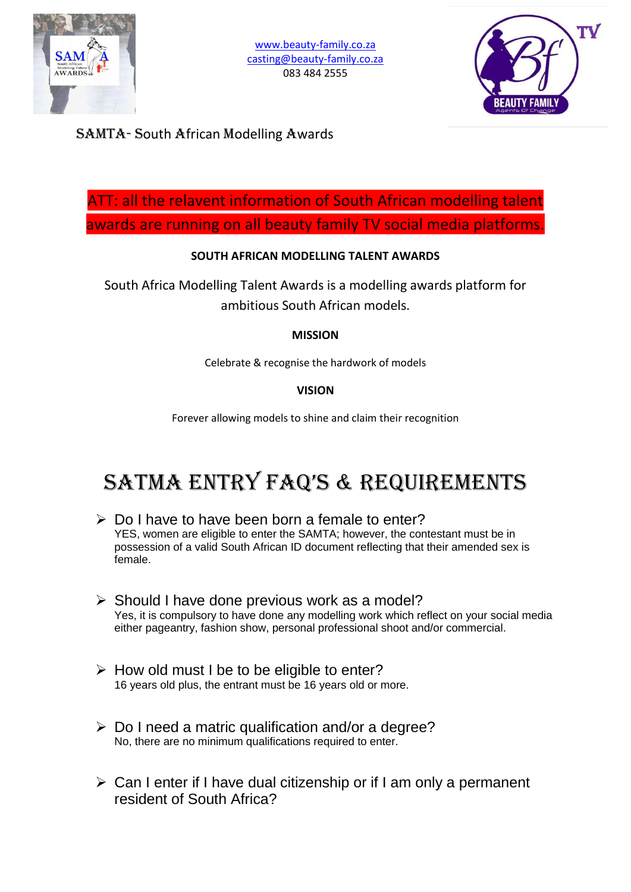



SAMTA- South African Modelling Awards

ATT: all the relavent information of South African modelling talent awards are running on all beauty family TV social media platforms.

## **SOUTH AFRICAN MODELLING TALENT AWARDS**

South Africa Modelling Talent Awards is a modelling awards platform for ambitious South African models.

### **MISSION**

Celebrate & recognise the hardwork of models

### **VISION**

Forever allowing models to shine and claim their recognition

# SATMA ENTRY FAQ'S & REQUIREMENTS

- $\triangleright$  Do I have to have been born a female to enter? YES, women are eligible to enter the SAMTA; however, the contestant must be in possession of a valid South African ID document reflecting that their amended sex is female.
- $\triangleright$  Should I have done previous work as a model? Yes, it is compulsory to have done any modelling work which reflect on your social media either pageantry, fashion show, personal professional shoot and/or commercial.
- $\triangleright$  How old must I be to be eligible to enter? 16 years old plus, the entrant must be 16 years old or more.
- $\triangleright$  Do I need a matric qualification and/or a degree? No, there are no minimum qualifications required to enter.
- Can I enter if I have dual citizenship or if I am only a permanent resident of South Africa?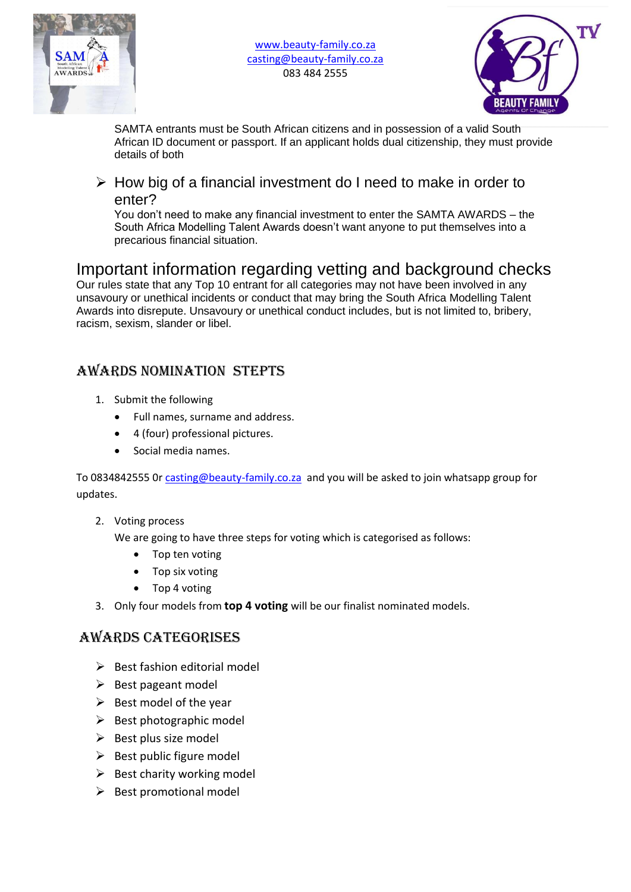

www.beauty-family.co.za casting@beauty-family.co.za 083 484 2555



SAMTA entrants must be South African citizens and in possession of a valid South African ID document or passport. If an applicant holds dual citizenship, they must provide details of both

 $\triangleright$  How big of a financial investment do I need to make in order to enter?

You don't need to make any financial investment to enter the SAMTA AWARDS – the South Africa Modelling Talent Awards doesn't want anyone to put themselves into a precarious financial situation.

# Important information regarding vetting and background checks

Our rules state that any Top 10 entrant for all categories may not have been involved in any unsavoury or unethical incidents or conduct that may bring the South Africa Modelling Talent Awards into disrepute. Unsavoury or unethical conduct includes, but is not limited to, bribery, racism, sexism, slander or libel.

# AWARDS Nomination STEPTS

- 1. Submit the following
	- Full names, surname and address.
	- 4 (four) professional pictures.
	- Social media names.

To 0834842555 0r casting@beauty-family.co.za and you will be asked to join whatsapp group for updates.

#### 2. Voting process

We are going to have three steps for voting which is categorised as follows:

- Top ten voting
- Top six voting
- Top 4 voting
- 3. Only four models from **top 4 voting** will be our finalist nominated models.

# Awards Categorises

- $\triangleright$  Best fashion editorial model
- $\triangleright$  Best pageant model
- $\triangleright$  Best model of the year
- $\triangleright$  Best photographic model
- $\triangleright$  Best plus size model
- $\triangleright$  Best public figure model
- $\triangleright$  Best charity working model
- $\triangleright$  Best promotional model